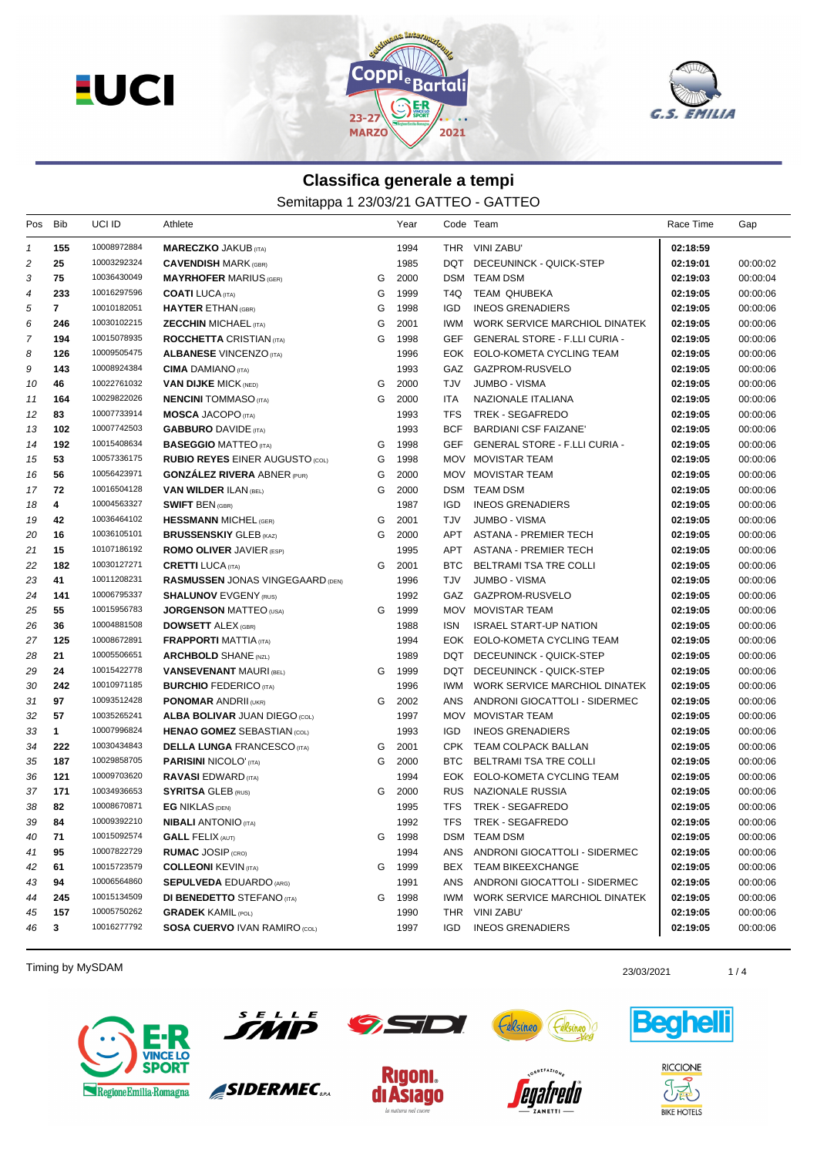



## **Classifica generale a tempi**

Semitappa 1 23/03/21 GATTEO - GATTEO

| Pos            | Bib            | UCI ID      | Athlete                                 |   | Year   |            | Code Team                            | Race Time | Gap      |
|----------------|----------------|-------------|-----------------------------------------|---|--------|------------|--------------------------------------|-----------|----------|
| $\mathbf{1}$   | 155            | 10008972884 | <b>MARECZKO JAKUB (ITA)</b>             |   | 1994   |            | THR VINI ZABU'                       | 02:18:59  |          |
| 2              | 25             | 10003292324 | <b>CAVENDISH MARK (GBR)</b>             |   | 1985   | DQT        | DECEUNINCK - QUICK-STEP              | 02:19:01  | 00:00:02 |
| 3              | 75             | 10036430049 | <b>MAYRHOFER MARIUS (GER)</b>           | G | 2000   |            | DSM TEAM DSM                         | 02:19:03  | 00:00:04 |
| 4              | 233            | 10016297596 | <b>COATI</b> LUCA (ITA)                 | G | 1999   | T4Q.       | <b>TEAM QHUBEKA</b>                  | 02:19:05  | 00:00:06 |
| 5              | $\overline{7}$ | 10010182051 | <b>HAYTER ETHAN (GBR)</b>               | G | 1998   | <b>IGD</b> | <b>INEOS GRENADIERS</b>              | 02:19:05  | 00:00:06 |
| 6              | 246            | 10030102215 | <b>ZECCHIN MICHAEL (ITA)</b>            | G | 2001   | IWM        | WORK SERVICE MARCHIOL DINATEK        | 02:19:05  | 00:00:06 |
| $\overline{7}$ | 194            | 10015078935 | <b>ROCCHETTA CRISTIAN (ITA)</b>         | G | 1998   | <b>GEF</b> | <b>GENERAL STORE - F.LLI CURIA -</b> | 02:19:05  | 00:00:06 |
| 8              | 126            | 10009505475 | <b>ALBANESE VINCENZO (ITA)</b>          |   | 1996   | EOK        | EOLO-KOMETA CYCLING TEAM             | 02:19:05  | 00:00:06 |
| 9              | 143            | 10008924384 | <b>CIMA</b> DAMIANO (ITA)               |   | 1993   | <b>GAZ</b> | GAZPROM-RUSVELO                      | 02:19:05  | 00:00:06 |
| 10             | 46             | 10022761032 | <b>VAN DIJKE MICK (NED)</b>             | G | 2000   | TJV        | JUMBO - VISMA                        | 02:19:05  | 00:00:06 |
| 11             | 164            | 10029822026 | <b>NENCINI</b> TOMMASO (ITA)            | G | 2000   | ITA        | NAZIONALE ITALIANA                   | 02:19:05  | 00:00:06 |
| 12             | 83             | 10007733914 | <b>MOSCA JACOPO (ITA)</b>               |   | 1993   | <b>TFS</b> | TREK - SEGAFREDO                     | 02:19:05  | 00:00:06 |
| 13             | 102            | 10007742503 | <b>GABBURO DAVIDE</b> (ITA)             |   | 1993   | <b>BCF</b> | <b>BARDIANI CSF FAIZANE'</b>         | 02:19:05  | 00:00:06 |
| 14             | 192            | 10015408634 | <b>BASEGGIO MATTEO</b> (ITA)            | G | 1998   | GEF        | GENERAL STORE - F.LLI CURIA -        | 02:19:05  | 00:00:06 |
| 15             | 53             | 10057336175 | <b>RUBIO REYES EINER AUGUSTO (COL)</b>  | G | 1998   |            | MOV MOVISTAR TEAM                    | 02:19:05  | 00:00:06 |
| 16             | 56             | 10056423971 | <b>GONZALEZ RIVERA ABNER (PUR)</b>      | G | 2000   |            | MOV MOVISTAR TEAM                    | 02:19:05  | 00:00:06 |
| 17             | 72             | 10016504128 | <b>VAN WILDER ILAN (BEL)</b>            | G | 2000   |            | DSM TEAM DSM                         | 02:19:05  | 00:00:06 |
| 18             | 4              | 10004563327 | <b>SWIFT BEN (GBR)</b>                  |   | 1987   | <b>IGD</b> | <b>INEOS GRENADIERS</b>              | 02:19:05  | 00:00:06 |
| 19             | 42             | 10036464102 | <b>HESSMANN MICHEL (GER)</b>            | G | 2001   | <b>TJV</b> | <b>JUMBO - VISMA</b>                 | 02:19:05  | 00:00:06 |
| 20             | 16             | 10036105101 | <b>BRUSSENSKIY GLEB (KAZ)</b>           | G | 2000   | APT        | ASTANA - PREMIER TECH                | 02:19:05  | 00:00:06 |
| 21             | 15             | 10107186192 | <b>ROMO OLIVER JAVIER (ESP)</b>         |   | 1995   | APT        | <b>ASTANA - PREMIER TECH</b>         | 02:19:05  | 00:00:06 |
| 22             | 182            | 10030127271 | <b>CRETTI LUCA</b> (ITA)                | G | 2001   | <b>BTC</b> | BELTRAMI TSA TRE COLLI               | 02:19:05  | 00:00:06 |
| 23             | 41             | 10011208231 | <b>RASMUSSEN JONAS VINGEGAARD (DEN)</b> |   | 1996   | TJV        | <b>JUMBO - VISMA</b>                 | 02:19:05  | 00:00:06 |
| 24             | 141            | 10006795337 | <b>SHALUNOV EVGENY (RUS)</b>            |   | 1992   | GAZ        | GAZPROM-RUSVELO                      | 02:19:05  | 00:00:06 |
| 25             | 55             | 10015956783 | <b>JORGENSON MATTEO</b> (USA)           | G | 1999   |            | MOV MOVISTAR TEAM                    | 02:19:05  | 00:00:06 |
| 26             | 36             | 10004881508 | <b>DOWSETT ALEX (GBR)</b>               |   | 1988   | ISN        | <b>ISRAEL START-UP NATION</b>        | 02:19:05  | 00:00:06 |
| 27             | 125            | 10008672891 | <b>FRAPPORTI MATTIA (ITA)</b>           |   | 1994   |            | EOK EOLO-KOMETA CYCLING TEAM         | 02:19:05  | 00:00:06 |
| 28             | 21             | 10005506651 | <b>ARCHBOLD SHANE (NZL)</b>             |   | 1989   | DQT        | DECEUNINCK - QUICK-STEP              | 02:19:05  | 00:00:06 |
| 29             | 24             | 10015422778 | <b>VANSEVENANT MAURI (BEL)</b>          | G | 1999   | DQT        | DECEUNINCK - QUICK-STEP              | 02:19:05  | 00:00:06 |
| 30             | 242            | 10010971185 | <b>BURCHIO FEDERICO (ITA)</b>           |   | 1996   | <b>IWM</b> | WORK SERVICE MARCHIOL DINATEK        | 02:19:05  | 00:00:06 |
| 31             | 97             | 10093512428 | <b>PONOMAR ANDRII (UKR)</b>             | G | 2002   | ANS        | ANDRONI GIOCATTOLI - SIDERMEC        | 02:19:05  | 00:00:06 |
| 32             | 57             | 10035265241 | <b>ALBA BOLIVAR JUAN DIEGO (COL)</b>    |   | 1997   |            | MOV MOVISTAR TEAM                    | 02:19:05  | 00:00:06 |
| 33             | $\mathbf{1}$   | 10007996824 | <b>HENAO GOMEZ SEBASTIAN (COL)</b>      |   | 1993   | <b>IGD</b> | <b>INEOS GRENADIERS</b>              | 02:19:05  | 00:00:06 |
| 34             | 222            | 10030434843 | <b>DELLA LUNGA FRANCESCO (ITA)</b>      | G | 2001   | <b>CPK</b> | TEAM COLPACK BALLAN                  | 02:19:05  | 00:00:06 |
| 35             | 187            | 10029858705 | <b>PARISINI NICOLO' (TA)</b>            | G | 2000   | BTC        | BELTRAMI TSA TRE COLLI               | 02:19:05  | 00:00:06 |
| 36             | 121            | 10009703620 | <b>RAVASI</b> EDWARD (ITA)              |   | 1994   | EOK        | EOLO-KOMETA CYCLING TEAM             | 02:19:05  | 00:00:06 |
| 37             | 171            | 10034936653 | <b>SYRITSA GLEB (RUS)</b>               | G | 2000   | <b>RUS</b> | NAZIONALE RUSSIA                     | 02:19:05  | 00:00:06 |
| 38             | 82             | 10008670871 | <b>EG NIKLAS (DEN)</b>                  |   | 1995   | <b>TFS</b> | TREK - SEGAFREDO                     | 02:19:05  | 00:00:06 |
| 39             | 84             | 10009392210 | <b>NIBALI</b> ANTONIO (ITA)             |   | 1992   | <b>TFS</b> | TREK - SEGAFREDO                     | 02:19:05  | 00:00:06 |
| 40             | 71             | 10015092574 | <b>GALL FELIX (AUT)</b>                 |   | G 1998 |            | DSM TEAM DSM                         | 02:19:05  | 00:00:06 |
| 41             | 95             | 10007822729 | <b>RUMAC JOSIP (CRO)</b>                |   | 1994   |            | ANS ANDRONI GIOCATTOLI - SIDERMEC    | 02:19:05  | 00:00:06 |
| 42             | 61             | 10015723579 | <b>COLLEONI KEVIN (ITA)</b>             |   | G 1999 | BEX        | <b>TEAM BIKEEXCHANGE</b>             | 02:19:05  | 00:00:06 |
| 43             | 94             | 10006564860 | <b>SEPULVEDA EDUARDO (ARG)</b>          |   | 1991   | ANS        | ANDRONI GIOCATTOLI - SIDERMEC        | 02:19:05  | 00:00:06 |
| 44             | 245            | 10015134509 | <b>DI BENEDETTO</b> STEFANO (ITA)       | G | 1998   | IWM        | WORK SERVICE MARCHIOL DINATEK        | 02:19:05  | 00:00:06 |
| 45             | 157            | 10005750262 | <b>GRADEK KAMIL (POL)</b>               |   | 1990   |            | THR VINI ZABU'                       | 02:19:05  | 00:00:06 |
| 46             | 3              | 10016277792 | <b>SOSA CUERVO IVAN RAMIRO (COL)</b>    |   | 1997   | <b>IGD</b> | <b>INEOS GRENADIERS</b>              | 02:19:05  | 00:00:06 |
|                |                |             |                                         |   |        |            |                                      |           |          |

Timing by MySDAM 23/03/2021 23/03/2021 23/03/2021 23/03/2021 23/03/2021 23/03/2021





SIDERMEC<sub>SPA</sub>







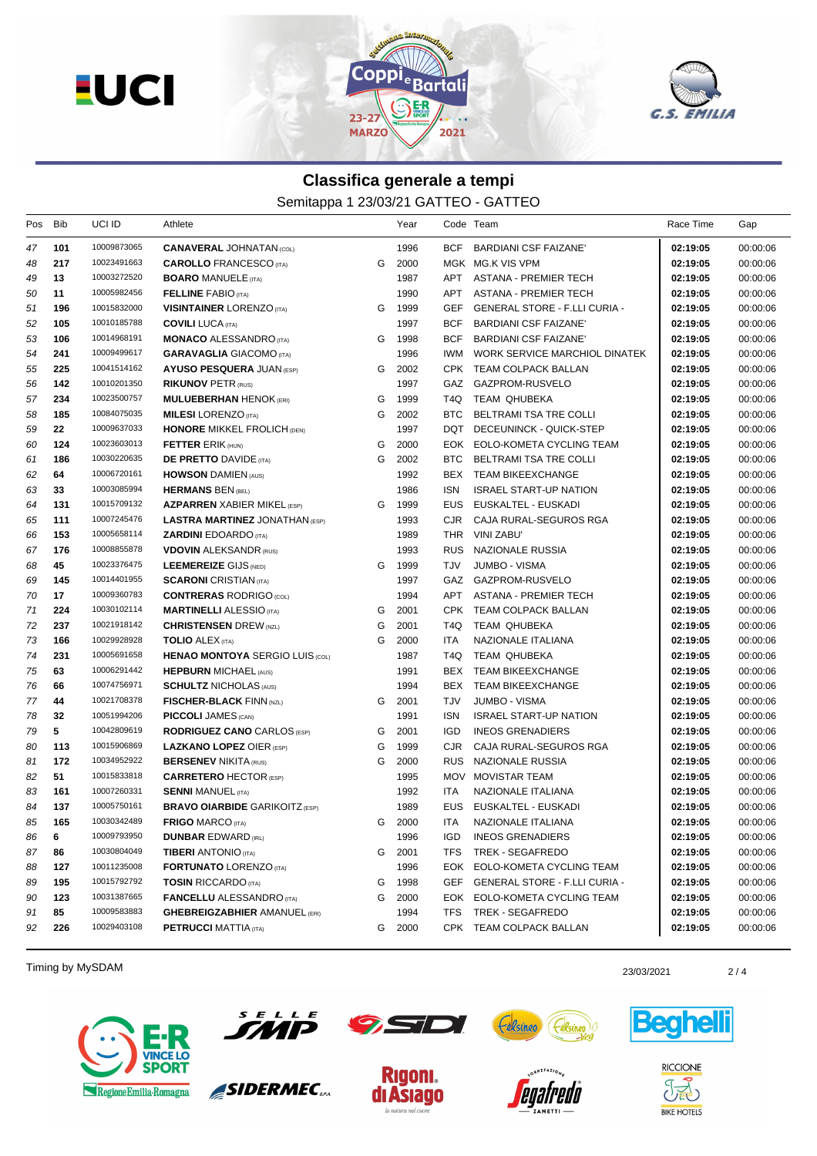



## **Classifica generale a tempi**

Semitappa 1 23/03/21 GATTEO - GATTEO

| Pos | Bib     | UCI ID      | Athlete                                |   | Year |            | Code Team                         | Race Time | Gap      |
|-----|---------|-------------|----------------------------------------|---|------|------------|-----------------------------------|-----------|----------|
| 47  | 101     | 10009873065 | <b>CANAVERAL JOHNATAN (COL)</b>        |   | 1996 | BCF        | BARDIANI CSF FAIZANE'             | 02:19:05  | 00:00:06 |
| 48  | 217     | 10023491663 | <b>CAROLLO</b> FRANCESCO (ITA)         | G | 2000 |            | MGK MG.K VIS VPM                  | 02:19:05  | 00:00:06 |
| 49  | 13      | 10003272520 | <b>BOARO MANUELE (ITA)</b>             |   | 1987 |            | APT ASTANA - PREMIER TECH         | 02:19:05  | 00:00:06 |
| 50  | 11      | 10005982456 | <b>FELLINE FABIO (ITA)</b>             |   | 1990 | APT        | ASTANA - PREMIER TECH             | 02:19:05  | 00:00:06 |
| 51  | 196     | 10015832000 | <b>VISINTAINER LORENZO (ITA)</b>       | G | 1999 | GEF        | GENERAL STORE - F.LLI CURIA -     | 02:19:05  | 00:00:06 |
| 52  | 105     | 10010185788 | <b>COVILI LUCA (ITA)</b>               |   | 1997 | <b>BCF</b> | <b>BARDIANI CSF FAIZANE'</b>      | 02:19:05  | 00:00:06 |
| 53  | 106     | 10014968191 | <b>MONACO ALESSANDRO</b> (ITA)         | G | 1998 | <b>BCF</b> | <b>BARDIANI CSF FAIZANE'</b>      | 02:19:05  | 00:00:06 |
| 54  | 241     | 10009499617 | <b>GARAVAGLIA GIACOMO (ITA)</b>        |   | 1996 | IWM.       | WORK SERVICE MARCHIOL DINATEK     | 02:19:05  | 00:00:06 |
| 55  | 225     | 10041514162 | <b>AYUSO PESQUERA JUAN (ESP)</b>       | G | 2002 |            | CPK TEAM COLPACK BALLAN           | 02:19:05  | 00:00:06 |
| 56  | 142     | 10010201350 | <b>RIKUNOV PETR (RUS)</b>              |   | 1997 | GAZ        | GAZPROM-RUSVELO                   | 02:19:05  | 00:00:06 |
| 57  | 234     | 10023500757 | <b>MULUEBERHAN HENOK (ERI)</b>         | G | 1999 | T4Q        | TEAM QHUBEKA                      | 02:19:05  | 00:00:06 |
| 58  | 185     | 10084075035 | <b>MILESI</b> LORENZO (ITA)            | G | 2002 | <b>BTC</b> | BELTRAMI TSA TRE COLLI            | 02:19:05  | 00:00:06 |
| 59  | $22 \,$ | 10009637033 | <b>HONORE MIKKEL FROLICH (DEN)</b>     |   | 1997 | DQT        | DECEUNINCK - QUICK-STEP           | 02:19:05  | 00:00:06 |
| 60  | 124     | 10023603013 | <b>FETTER ERIK (HUN)</b>               | G | 2000 | EOK        | EOLO-KOMETA CYCLING TEAM          | 02:19:05  | 00:00:06 |
| 61  | 186     | 10030220635 | <b>DE PRETTO DAVIDE (ITA)</b>          | G | 2002 | BTC        | BELTRAMI TSA TRE COLLI            | 02:19:05  | 00:00:06 |
| 62  | 64      | 10006720161 | <b>HOWSON</b> DAMIEN (AUS)             |   | 1992 |            | BEX TEAM BIKEEXCHANGE             | 02:19:05  | 00:00:06 |
| 63  | 33      | 10003085994 | <b>HERMANS BEN (BEL)</b>               |   | 1986 | ISN        | <b>ISRAEL START-UP NATION</b>     | 02:19:05  | 00:00:06 |
| 64  | 131     | 10015709132 | <b>AZPARREN XABIER MIKEL (ESP)</b>     | G | 1999 | EUS        | EUSKALTEL - EUSKADI               | 02:19:05  | 00:00:06 |
| 65  | 111     | 10007245476 | <b>LASTRA MARTINEZ JONATHAN (ESP)</b>  |   | 1993 | CJR.       | CAJA RURAL-SEGUROS RGA            | 02:19:05  | 00:00:06 |
| 66  | 153     | 10005658114 | <b>ZARDINI EDOARDO</b> (ITA)           |   | 1989 |            | THR VINI ZABU'                    | 02:19:05  | 00:00:06 |
| 67  | 176     | 10008855878 | <b>VDOVIN ALEKSANDR (RUS)</b>          |   | 1993 | <b>RUS</b> | NAZIONALE RUSSIA                  | 02:19:05  | 00:00:06 |
| 68  | 45      | 10023376475 | LEEMEREIZE GIJS (NED)                  | G | 1999 | TJV        | <b>JUMBO - VISMA</b>              | 02:19:05  | 00:00:06 |
| 69  | 145     | 10014401955 | <b>SCARONI</b> CRISTIAN (ITA)          |   | 1997 |            | GAZ GAZPROM-RUSVELO               | 02:19:05  | 00:00:06 |
| 70  | 17      | 10009360783 | <b>CONTRERAS RODRIGO (COL)</b>         |   | 1994 | APT        | ASTANA - PREMIER TECH             | 02:19:05  | 00:00:06 |
| 71  | 224     | 10030102114 | <b>MARTINELLI ALESSIO</b> (ITA)        | G | 2001 |            | CPK TEAM COLPACK BALLAN           | 02:19:05  | 00:00:06 |
| 72  | 237     | 10021918142 | <b>CHRISTENSEN</b> DREW (NZL)          | G | 2001 | T4Q.       | TEAM QHUBEKA                      | 02:19:05  | 00:00:06 |
| 73  | 166     | 10029928928 | <b>TOLIO</b> ALEX (ITA)                | G | 2000 | <b>ITA</b> | NAZIONALE ITALIANA                | 02:19:05  | 00:00:06 |
| 74  | 231     | 10005691658 | <b>HENAO MONTOYA SERGIO LUIS (COL)</b> |   | 1987 | T4Q        | TEAM QHUBEKA                      | 02:19:05  | 00:00:06 |
| 75  | 63      | 10006291442 | <b>HEPBURN MICHAEL (AUS)</b>           |   | 1991 | BEX        | TEAM BIKEEXCHANGE                 | 02:19:05  | 00:00:06 |
| 76  | 66      | 10074756971 | <b>SCHULTZ NICHOLAS (AUS)</b>          |   | 1994 | BEX        | <b>TEAM BIKEEXCHANGE</b>          | 02:19:05  | 00:00:06 |
| 77  | 44      | 10021708378 | <b>FISCHER-BLACK FINN (NZL)</b>        | G | 2001 | TJV        | <b>JUMBO - VISMA</b>              | 02:19:05  | 00:00:06 |
| 78  | 32      | 10051994206 | <b>PICCOLI JAMES (CAN)</b>             |   | 1991 | <b>ISN</b> | <b>ISRAEL START-UP NATION</b>     | 02:19:05  | 00:00:06 |
| 79  | 5       | 10042809619 | <b>RODRIGUEZ CANO CARLOS (ESP)</b>     | G | 2001 | <b>IGD</b> | <b>INEOS GRENADIERS</b>           | 02:19:05  | 00:00:06 |
| 80  | 113     | 10015906869 | <b>LAZKANO LOPEZ OIER (ESP)</b>        | G | 1999 | <b>CJR</b> | CAJA RURAL-SEGUROS RGA            | 02:19:05  | 00:00:06 |
| 81  | 172     | 10034952922 | <b>BERSENEV NIKITA (RUS)</b>           | G | 2000 | <b>RUS</b> | NAZIONALE RUSSIA                  | 02:19:05  | 00:00:06 |
| 82  | 51      | 10015833818 | <b>CARRETERO HECTOR (ESP)</b>          |   | 1995 |            | MOV MOVISTAR TEAM                 | 02:19:05  | 00:00:06 |
| 83  | 161     | 10007260331 | <b>SENNI MANUEL (ITA)</b>              |   | 1992 | ITA        | NAZIONALE ITALIANA                | 02:19:05  | 00:00:06 |
| 84  | 137     | 10005750161 | <b>BRAVO OIARBIDE GARIKOITZ (ESP)</b>  |   | 1989 | EUS.       | EUSKALTEL - EUSKADI               | 02:19:05  | 00:00:06 |
| 85  | 165     | 10030342489 | <b>FRIGO MARCO (ITA)</b>               | G | 2000 | ITA        | NAZIONALE ITALIANA                | 02:19:05  | 00:00:06 |
| 86  | 6       | 10009793950 | <b>DUNBAR EDWARD (IRL)</b>             |   | 1996 |            | IGD INEOS GRENADIERS              | 02:19:05  | 00:00:06 |
| 87  | 86      | 10030804049 | <b>TIBERI</b> ANTONIO (ITA)            | G | 2001 | TFS.       | TREK - SEGAFREDO                  | 02:19:05  | 00:00:06 |
| 88  | 127     | 10011235008 | <b>FORTUNATO LORENZO (ITA)</b>         |   | 1996 |            | EOK EOLO-KOMETA CYCLING TEAM      | 02:19:05  | 00:00:06 |
| 89  | 195     | 10015792792 | <b>TOSIN</b> RICCARDO (ITA)            | G | 1998 |            | GEF GENERAL STORE - F.LLI CURIA - | 02:19:05  | 00:00:06 |
| 90  | 123     | 10031387665 | <b>FANCELLU ALESSANDRO</b> (ITA)       | G | 2000 |            | EOK EOLO-KOMETA CYCLING TEAM      | 02:19:05  | 00:00:06 |
| 91  | 85      | 10009583883 | <b>GHEBREIGZABHIER AMANUEL (ERI)</b>   |   | 1994 | <b>TFS</b> | <b>TREK - SEGAFREDO</b>           | 02:19:05  | 00:00:06 |
| 92  | 226     | 10029403108 | <b>PETRUCCI MATTIA (ITA)</b>           | G | 2000 |            | CPK TEAM COLPACK BALLAN           | 02:19:05  | 00:00:06 |

Timing by MySDAM 2/4





SIDERMEC<sub>SPA</sub>







**RICCIONE**  $\partial \widetilde{\mathbb{E}}$ **BIKE HOTELS**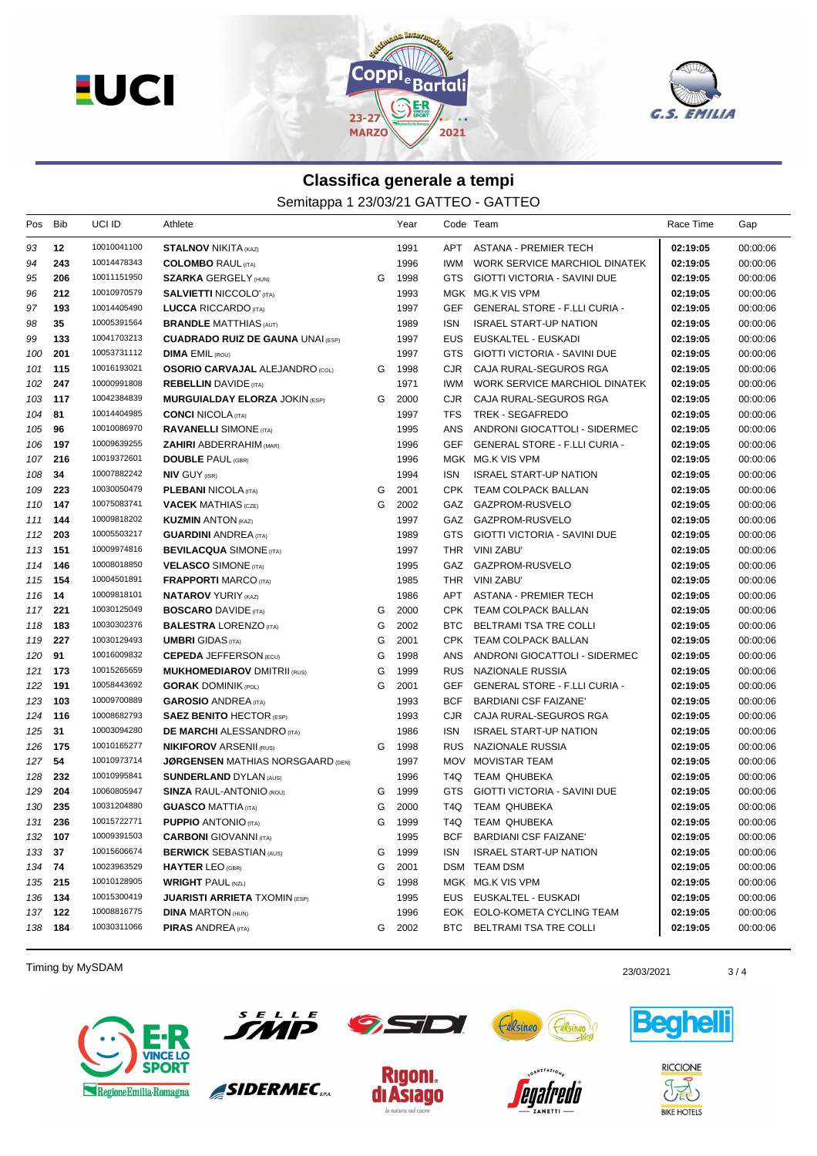



## **Classifica generale a tempi**

Semitappa 1 23/03/21 GATTEO - GATTEO

| Pos     | Bib     | UCI ID      | Athlete                                  |   | Year |            | Code Team                            | Race Time | Gap      |
|---------|---------|-------------|------------------------------------------|---|------|------------|--------------------------------------|-----------|----------|
| 93      | 12      | 10010041100 | <b>STALNOV NIKITA (KAZ)</b>              |   | 1991 |            | APT ASTANA - PREMIER TECH            | 02:19:05  | 00:00:06 |
| 94      | 243     | 10014478343 | <b>COLOMBO</b> RAUL (ITA)                |   | 1996 | IWM.       | WORK SERVICE MARCHIOL DINATEK        | 02:19:05  | 00:00:06 |
| 95      | 206     | 10011151950 | <b>SZARKA GERGELY (HUN)</b>              | G | 1998 |            | GTS GIOTTI VICTORIA - SAVINI DUE     | 02:19:05  | 00:00:06 |
| 96      | 212     | 10010970579 | <b>SALVIETTI NICCOLO' (ITA)</b>          |   | 1993 |            | MGK MG.K VIS VPM                     | 02:19:05  | 00:00:06 |
| 97      | 193     | 10014405490 | <b>LUCCA RICCARDO</b> (ITA)              |   | 1997 | GEF        | <b>GENERAL STORE - F.LLI CURIA -</b> | 02:19:05  | 00:00:06 |
| 98      | 35      | 10005391564 | <b>BRANDLE MATTHIAS (AUT)</b>            |   | 1989 | <b>ISN</b> | <b>ISRAEL START-UP NATION</b>        | 02:19:05  | 00:00:06 |
| 99      | 133     | 10041703213 | <b>CUADRADO RUIZ DE GAUNA UNAI (ESP)</b> |   | 1997 | <b>EUS</b> | EUSKALTEL - EUSKADI                  | 02:19:05  | 00:00:06 |
| 100     | 201     | 10053731112 | <b>DIMA EMIL (ROU)</b>                   |   | 1997 | GTS.       | GIOTTI VICTORIA - SAVINI DUE         | 02:19:05  | 00:00:06 |
| 101     | 115     | 10016193021 | <b>OSORIO CARVAJAL ALEJANDRO (COL)</b>   | G | 1998 | CJR        | CAJA RURAL-SEGUROS RGA               | 02:19:05  | 00:00:06 |
| 102     | 247     | 10000991808 | <b>REBELLIN</b> DAVIDE (ITA)             |   | 1971 | <b>IWM</b> | WORK SERVICE MARCHIOL DINATEK        | 02:19:05  | 00:00:06 |
| 103     | 117     | 10042384839 | <b>MURGUIALDAY ELORZA JOKIN (ESP)</b>    | G | 2000 | CJR        | CAJA RURAL-SEGUROS RGA               | 02:19:05  | 00:00:06 |
| 104     | 81      | 10014404985 | <b>CONCI NICOLA</b> (ITA)                |   | 1997 | <b>TFS</b> | TREK - SEGAFREDO                     | 02:19:05  | 00:00:06 |
| 105     | 96      | 10010086970 | <b>RAVANELLI SIMONE</b> (ITA)            |   | 1995 | ANS        | ANDRONI GIOCATTOLI - SIDERMEC        | 02:19:05  | 00:00:06 |
| 106     | 197     | 10009639255 | <b>ZAHIRI</b> ABDERRAHIM (MAR)           |   | 1996 | GEF        | GENERAL STORE - F.LLI CURIA -        | 02:19:05  | 00:00:06 |
| 107     | 216     | 10019372601 | <b>DOUBLE PAUL (GBR)</b>                 |   | 1996 |            | MGK MG.K VIS VPM                     | 02:19:05  | 00:00:06 |
| 108     | 34      | 10007882242 | <b>NIV GUY (ISR)</b>                     |   | 1994 | <b>ISN</b> | <b>ISRAEL START-UP NATION</b>        | 02:19:05  | 00:00:06 |
| 109     | 223     | 10030050479 | <b>PLEBANI NICOLA (ITA)</b>              | G | 2001 |            | CPK TEAM COLPACK BALLAN              | 02:19:05  | 00:00:06 |
| 110     | 147     | 10075083741 | <b>VACEK MATHIAS</b> (CZE)               | G | 2002 |            | GAZ GAZPROM-RUSVELO                  | 02:19:05  | 00:00:06 |
| 111     | 144     | 10009818202 | <b>KUZMIN ANTON (KAZ)</b>                |   | 1997 |            | GAZ GAZPROM-RUSVELO                  | 02:19:05  | 00:00:06 |
| 112     | 203     | 10005503217 | <b>GUARDINI ANDREA (ITA)</b>             |   | 1989 |            | GTS GIOTTI VICTORIA - SAVINI DUE     | 02:19:05  | 00:00:06 |
| 113     | 151     | 10009974816 | <b>BEVILACQUA SIMONE (ITA)</b>           |   | 1997 |            | THR VINI ZABU'                       | 02:19:05  | 00:00:06 |
| 114     | 146     | 10008018850 | <b>VELASCO SIMONE</b> (ITA)              |   | 1995 |            | GAZ GAZPROM-RUSVELO                  | 02:19:05  | 00:00:06 |
| 115     | 154     | 10004501891 | <b>FRAPPORTI MARCO (ITA)</b>             |   | 1985 |            | THR VINI ZABU'                       | 02:19:05  | 00:00:06 |
| 116     | 14      | 10009818101 | <b>NATAROV YURIY (KAZ)</b>               |   | 1986 | APT        | ASTANA - PREMIER TECH                | 02:19:05  | 00:00:06 |
| 117     | 221     | 10030125049 | <b>BOSCARO</b> DAVIDE (ITA)              | G | 2000 |            | CPK TEAM COLPACK BALLAN              | 02:19:05  | 00:00:06 |
| 118     | 183     | 10030302376 | <b>BALESTRA LORENZO (ITA)</b>            | G | 2002 |            | BTC BELTRAMI TSA TRE COLLI           | 02:19:05  | 00:00:06 |
| 119     | 227     | 10030129493 | <b>UMBRI</b> GIDAS (ITA)                 | G | 2001 |            | CPK TEAM COLPACK BALLAN              | 02:19:05  | 00:00:06 |
| 120     | 91      | 10016009832 | <b>CEPEDA JEFFERSON (ECU)</b>            | G | 1998 | ANS        | ANDRONI GIOCATTOLI - SIDERMEC        | 02:19:05  | 00:00:06 |
| 121     | 173     | 10015265659 | <b>MUKHOMEDIAROV DMITRII (RUS)</b>       | G | 1999 |            | RUS NAZIONALE RUSSIA                 | 02:19:05  | 00:00:06 |
| 122     | 191     | 10058443692 | <b>GORAK DOMINIK (POL)</b>               | G | 2001 | GEF        | <b>GENERAL STORE - F.LLI CURIA -</b> | 02:19:05  | 00:00:06 |
| 123     | 103     | 10009700889 | <b>GAROSIO ANDREA</b> (ITA)              |   | 1993 | <b>BCF</b> | <b>BARDIANI CSF FAIZANE'</b>         | 02:19:05  | 00:00:06 |
| 124     | 116     | 10008682793 | <b>SAEZ BENITO HECTOR (ESP)</b>          |   | 1993 | CJR.       | CAJA RURAL-SEGUROS RGA               | 02:19:05  | 00:00:06 |
| 125     | 31      | 10003094280 | <b>DE MARCHI ALESSANDRO</b> (ITA)        |   | 1986 | ISN        | <b>ISRAEL START-UP NATION</b>        | 02:19:05  | 00:00:06 |
| 126     | 175     | 10010165277 | <b>NIKIFOROV ARSENII (RUS)</b>           | G | 1998 | <b>RUS</b> | NAZIONALE RUSSIA                     | 02:19:05  | 00:00:06 |
| 127     | 54      | 10010973714 | <b>JØRGENSEN MATHIAS NORSGAARD (DEN)</b> |   | 1997 |            | MOV MOVISTAR TEAM                    | 02:19:05  | 00:00:06 |
| 128     | 232     | 10010995841 | <b>SUNDERLAND DYLAN (AUS)</b>            |   | 1996 | T4Q        | <b>TEAM QHUBEKA</b>                  | 02:19:05  | 00:00:06 |
| 129     | 204     | 10060805947 | <b>SINZA RAUL-ANTONIO (ROU)</b>          | G | 1999 | <b>GTS</b> | <b>GIOTTI VICTORIA - SAVINI DUE</b>  | 02:19:05  | 00:00:06 |
| 130     | 235     | 10031204880 | <b>GUASCO MATTIA</b> (ITA)               | G | 2000 | T4Q        | TEAM QHUBEKA                         | 02:19:05  | 00:00:06 |
| 131     | 236     | 10015722771 | <b>PUPPIO ANTONIO (ITA)</b>              | G | 1999 |            | T4Q TEAM QHUBEKA                     | 02:19:05  | 00:00:06 |
| 132 107 |         | 10009391503 | <b>CARBONI</b> GIOVANNI (ITA)            |   | 1995 |            | BCF BARDIANI CSF FAIZANE'            | 02:19:05  | 00:00:06 |
| 133 37  |         | 10015606674 | <b>BERWICK SEBASTIAN (AUS)</b>           | G | 1999 | ISN.       | <b>ISRAEL START-UP NATION</b>        | 02:19:05  | 00:00:06 |
| 134 74  |         | 10023963529 | <b>HAYTER LEO (GBR)</b>                  | G | 2001 |            | DSM TEAM DSM                         | 02:19:05  | 00:00:06 |
| 135 215 |         | 10010128905 | <b>WRIGHT PAUL (NZL)</b>                 | G | 1998 |            | MGK MG.K VIS VPM                     | 02:19:05  | 00:00:06 |
| 136 134 |         | 10015300419 | <b>JUARISTI ARRIETA TXOMIN (ESP)</b>     |   | 1995 |            | EUS EUSKALTEL - EUSKADI              | 02:19:05  | 00:00:06 |
|         | 137 122 | 10008816775 | <b>DINA MARTON (HUN)</b>                 |   | 1996 |            | EOK EOLO-KOMETA CYCLING TEAM         | 02:19:05  | 00:00:06 |
|         | 138 184 | 10030311066 | <b>PIRAS ANDREA</b> (ITA)                | G | 2002 |            | BTC BELTRAMI TSA TRE COLLI           | 02:19:05  | 00:00:06 |
|         |         |             |                                          |   |      |            |                                      |           |          |

Timing by MySDAM 23/03/2021 23/03/2021 23/03/2021

Regione Emilia-Romagna



SIDERMEC<sub>SPA</sub>